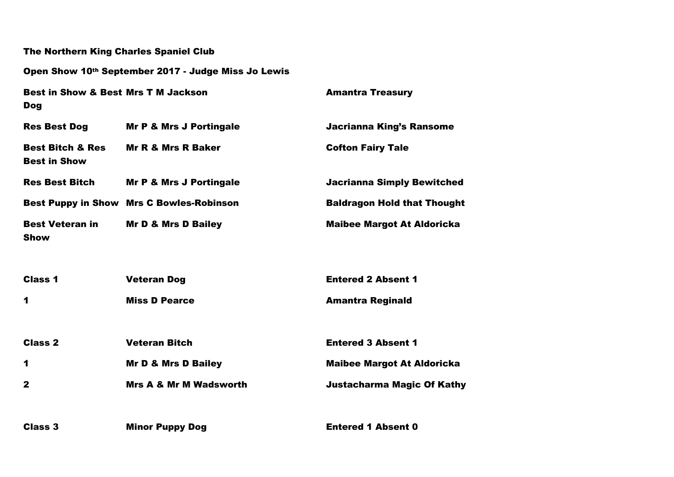| <b>The Northern King Charles Spaniel Club</b>                |                                                     |                                    |
|--------------------------------------------------------------|-----------------------------------------------------|------------------------------------|
|                                                              | Open Show 10th September 2017 - Judge Miss Jo Lewis |                                    |
| <b>Best in Show &amp; Best Mrs T M Jackson</b><br><b>Dog</b> |                                                     | <b>Amantra Treasury</b>            |
| <b>Res Best Dog</b>                                          | <b>Mr P &amp; Mrs J Portingale</b>                  | <b>Jacrianna King's Ransome</b>    |
| <b>Best Bitch &amp; Res</b><br><b>Best in Show</b>           | <b>Mr R &amp; Mrs R Baker</b>                       | <b>Cofton Fairy Tale</b>           |
| <b>Res Best Bitch</b>                                        | <b>Mr P &amp; Mrs J Portingale</b>                  | <b>Jacrianna Simply Bewitched</b>  |
|                                                              | <b>Best Puppy in Show Mrs C Bowles-Robinson</b>     | <b>Baldragon Hold that Thought</b> |
| <b>Best Veteran in</b><br><b>Show</b>                        | <b>Mr D &amp; Mrs D Bailey</b>                      | <b>Maibee Margot At Aldoricka</b>  |
| <b>Class 1</b>                                               | <b>Veteran Dog</b>                                  | <b>Entered 2 Absent 1</b>          |
| 1                                                            | <b>Miss D Pearce</b>                                | <b>Amantra Reginald</b>            |
| <b>Class 2</b>                                               | <b>Veteran Bitch</b>                                | <b>Entered 3 Absent 1</b>          |
| 1                                                            | Mr D & Mrs D Bailey                                 | <b>Maibee Margot At Aldoricka</b>  |
| $\mathbf{2}$                                                 | <b>Mrs A &amp; Mr M Wadsworth</b>                   | <b>Justacharma Magic Of Kathy</b>  |
| <b>Class 3</b>                                               | <b>Minor Puppy Dog</b>                              | <b>Entered 1 Absent 0</b>          |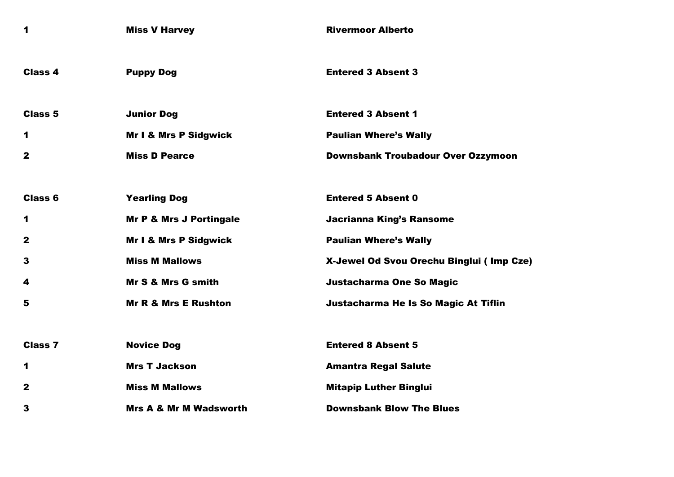| 1              | <b>Miss V Harvey</b>               | <b>Rivermoor Alberto</b>                    |
|----------------|------------------------------------|---------------------------------------------|
| <b>Class 4</b> | <b>Puppy Dog</b>                   | <b>Entered 3 Absent 3</b>                   |
| <b>Class 5</b> | <b>Junior Dog</b>                  | <b>Entered 3 Absent 1</b>                   |
| 1              | <b>Mr I &amp; Mrs P Sidgwick</b>   | <b>Paulian Where's Wally</b>                |
| $\mathbf{2}$   | <b>Miss D Pearce</b>               | <b>Downsbank Troubadour Over Ozzymoon</b>   |
|                |                                    |                                             |
| <b>Class 6</b> | <b>Yearling Dog</b>                | <b>Entered 5 Absent 0</b>                   |
| 1              | <b>Mr P &amp; Mrs J Portingale</b> | <b>Jacrianna King's Ransome</b>             |
| $\mathbf{2}$   | <b>Mr I &amp; Mrs P Sidgwick</b>   | <b>Paulian Where's Wally</b>                |
| 3              | <b>Miss M Mallows</b>              | X-Jewel Od Svou Orechu Binglui (Imp Cze)    |
| 4              | Mr S & Mrs G smith                 | Justacharma One So Magic                    |
| 5              | <b>Mr R &amp; Mrs E Rushton</b>    | <b>Justacharma He Is So Magic At Tiflin</b> |
|                |                                    |                                             |
| <b>Class 7</b> | <b>Novice Dog</b>                  | <b>Entered 8 Absent 5</b>                   |
| 1              | <b>Mrs T Jackson</b>               | <b>Amantra Regal Salute</b>                 |
| $\mathbf{2}$   | <b>Miss M Mallows</b>              | <b>Mitapip Luther Binglui</b>               |
| 3              | <b>Mrs A &amp; Mr M Wadsworth</b>  | <b>Downsbank Blow The Blues</b>             |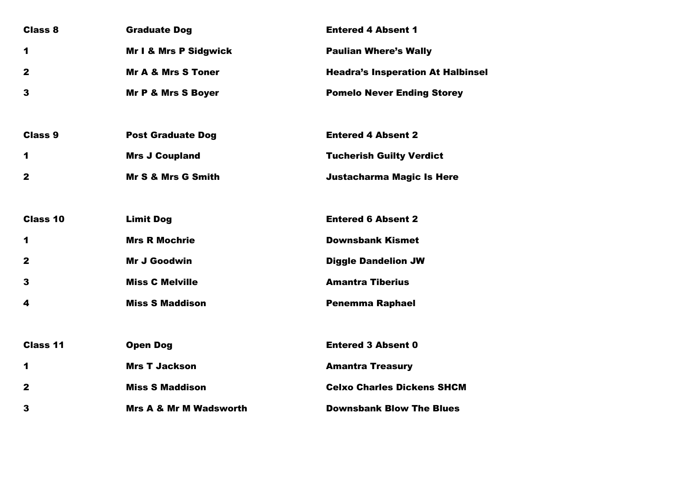| <b>Class 8</b>  | <b>Graduate Dog</b>               | <b>Entered 4 Absent 1</b>                |
|-----------------|-----------------------------------|------------------------------------------|
| $\mathbf 1$     | <b>Mr I &amp; Mrs P Sidgwick</b>  | <b>Paulian Where's Wally</b>             |
| $\mathbf{2}$    | <b>Mr A &amp; Mrs S Toner</b>     | <b>Headra's Insperation At Halbinsel</b> |
| 3               | <b>Mr P &amp; Mrs S Boyer</b>     | <b>Pomelo Never Ending Storey</b>        |
|                 |                                   |                                          |
| <b>Class 9</b>  | <b>Post Graduate Dog</b>          | <b>Entered 4 Absent 2</b>                |
| 1               | <b>Mrs J Coupland</b>             | <b>Tucherish Guilty Verdict</b>          |
| $\mathbf{2}$    | Mr S & Mrs G Smith                | <b>Justacharma Magic Is Here</b>         |
|                 |                                   |                                          |
| Class 10        | <b>Limit Dog</b>                  | <b>Entered 6 Absent 2</b>                |
| 1               | <b>Mrs R Mochrie</b>              | <b>Downsbank Kismet</b>                  |
| $\mathbf 2$     | <b>Mr J Goodwin</b>               | <b>Diggle Dandelion JW</b>               |
| 3               | <b>Miss C Melville</b>            | <b>Amantra Tiberius</b>                  |
| 4               | <b>Miss S Maddison</b>            | <b>Penemma Raphael</b>                   |
|                 |                                   |                                          |
| <b>Class 11</b> | <b>Open Dog</b>                   | <b>Entered 3 Absent 0</b>                |
| 1               | <b>Mrs T Jackson</b>              | <b>Amantra Treasury</b>                  |
| $\mathbf{2}$    | <b>Miss S Maddison</b>            | <b>Celxo Charles Dickens SHCM</b>        |
| 3               | <b>Mrs A &amp; Mr M Wadsworth</b> | <b>Downsbank Blow The Blues</b>          |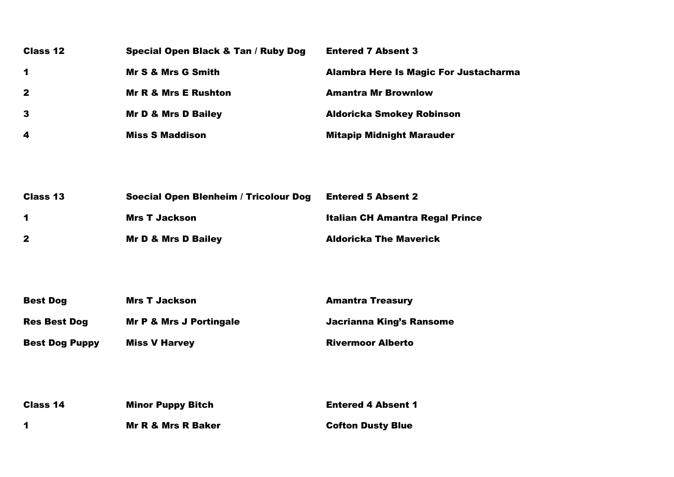| <b>Class 12</b>         | Special Open Black & Tan / Ruby Dog | <b>Entered 7 Absent 3</b>                    |
|-------------------------|-------------------------------------|----------------------------------------------|
| $\mathbf 1$             | <b>Mr S &amp; Mrs G Smith</b>       | <b>Alambra Here Is Magic For Justacharma</b> |
| $\mathbf{2}$            | <b>Mr R &amp; Mrs E Rushton</b>     | <b>Amantra Mr Brownlow</b>                   |
| $\mathbf{3}$            | <b>Mr D &amp; Mrs D Bailey</b>      | <b>Aldoricka Smokey Robinson</b>             |
| $\overline{\mathbf{4}}$ | <b>Miss S Maddison</b>              | <b>Mitapip Midnight Marauder</b>             |
|                         |                                     |                                              |

| <b>Class 13</b>      | Soecial Open Blenheim / Tricolour Dog | <b>Entered 5 Absent 2</b>              |
|----------------------|---------------------------------------|----------------------------------------|
| $\blacktriangleleft$ | Mrs T Jackson                         | <b>Italian CH Amantra Regal Prince</b> |
| $\mathbf{2}$         | Mr D & Mrs D Bailey                   | <b>Aldoricka The Maverick</b>          |

| <b>Best Dog</b>       | <b>Mrs T Jackson</b>               | <b>Amantra Treasury</b>  |
|-----------------------|------------------------------------|--------------------------|
| <b>Res Best Dog</b>   | <b>Mr P &amp; Mrs J Portingale</b> | Jacrianna King's Ransome |
| <b>Best Dog Puppy</b> | <b>Miss V Harvey</b>               | <b>Rivermoor Alberto</b> |

| Class 14 | <b>Minor Puppy Bitch</b> | <b>Entered 4 Absent 1</b> |
|----------|--------------------------|---------------------------|
|          | Mr R & Mrs R Baker       | <b>Cofton Dusty Blue</b>  |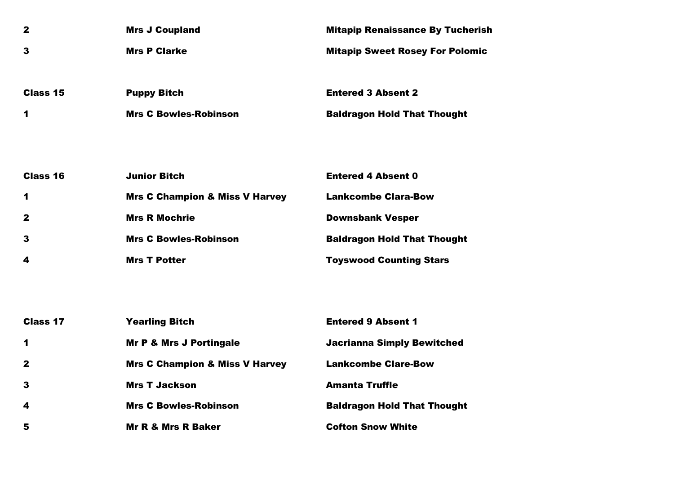| $\mathbf{2}$    | <b>Mrs J Coupland</b>                     | <b>Mitapip Renaissance By Tucherish</b> |
|-----------------|-------------------------------------------|-----------------------------------------|
| 3               | <b>Mrs P Clarke</b>                       | <b>Mitapip Sweet Rosey For Polomic</b>  |
|                 |                                           |                                         |
| Class 15        | <b>Puppy Bitch</b>                        | <b>Entered 3 Absent 2</b>               |
| 1               | <b>Mrs C Bowles-Robinson</b>              | <b>Baldragon Hold That Thought</b>      |
|                 |                                           |                                         |
|                 |                                           |                                         |
| Class 16        | <b>Junior Bitch</b>                       | <b>Entered 4 Absent 0</b>               |
| 1               | <b>Mrs C Champion &amp; Miss V Harvey</b> | <b>Lankcombe Clara-Bow</b>              |
| 2               | <b>Mrs R Mochrie</b>                      | <b>Downsbank Vesper</b>                 |
| 3               | <b>Mrs C Bowles-Robinson</b>              | <b>Baldragon Hold That Thought</b>      |
| 4               | <b>Mrs T Potter</b>                       | <b>Toyswood Counting Stars</b>          |
|                 |                                           |                                         |
|                 |                                           |                                         |
| <b>Class 17</b> | <b>Yearling Bitch</b>                     | <b>Entered 9 Absent 1</b>               |
| 1               | <b>Mr P &amp; Mrs J Portingale</b>        | <b>Jacrianna Simply Bewitched</b>       |
| $\mathbf{2}$    | <b>Mrs C Champion &amp; Miss V Harvey</b> | <b>Lankcombe Clare-Bow</b>              |
| 3               | <b>Mrs T Jackson</b>                      | <b>Amanta Truffle</b>                   |
| 4               | <b>Mrs C Bowles-Robinson</b>              | <b>Baldragon Hold That Thought</b>      |
| 5               | <b>Mr R &amp; Mrs R Baker</b>             | <b>Cofton Snow White</b>                |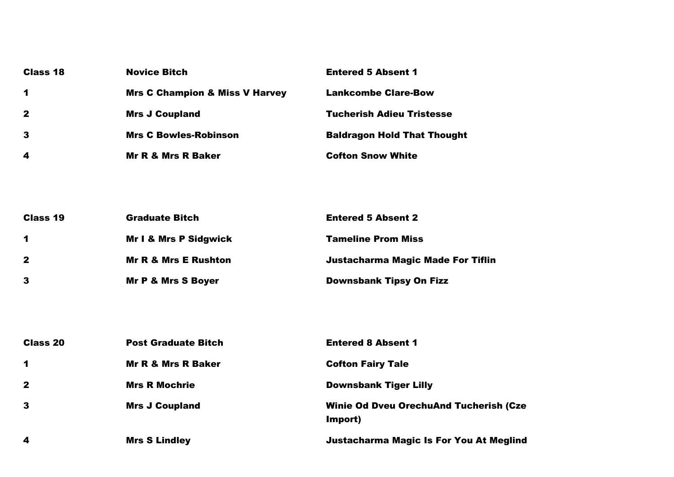| Class 18             | <b>Novice Bitch</b>                       | <b>Entered 5 Absent 1</b>          |
|----------------------|-------------------------------------------|------------------------------------|
| $\blacktriangleleft$ | <b>Mrs C Champion &amp; Miss V Harvey</b> | <b>Lankcombe Clare-Bow</b>         |
| $\mathbf{2}$         | <b>Mrs J Coupland</b>                     | <b>Tucherish Adieu Tristesse</b>   |
| $\mathbf{3}$         | <b>Mrs C Bowles-Robinson</b>              | <b>Baldragon Hold That Thought</b> |
| 4                    | <b>Mr R &amp; Mrs R Baker</b>             | <b>Cofton Snow White</b>           |

| <b>Class 19</b>      | <b>Graduate Bitch</b>            | <b>Entered 5 Absent 2</b>                |
|----------------------|----------------------------------|------------------------------------------|
| $\blacktriangleleft$ | <b>Mr I &amp; Mrs P Sidgwick</b> | <b>Tameline Prom Miss</b>                |
| $\mathbf{2}$         | <b>Mr R &amp; Mrs E Rushton</b>  | <b>Justacharma Magic Made For Tiflin</b> |
| $\mathbf{3}$         | <b>Mr P &amp; Mrs S Boyer</b>    | <b>Downsbank Tipsy On Fizz</b>           |

| <b>Class 20</b>      | <b>Post Graduate Bitch</b> | <b>Entered 8 Absent 1</b>                                |
|----------------------|----------------------------|----------------------------------------------------------|
| $\blacktriangleleft$ | Mr R & Mrs R Baker         | <b>Cofton Fairy Tale</b>                                 |
| $\mathbf{2}$         | <b>Mrs R Mochrie</b>       | <b>Downsbank Tiger Lilly</b>                             |
| $\mathbf{3}$         | <b>Mrs J Coupland</b>      | <b>Winie Od Dveu OrechuAnd Tucherish (Cze</b><br>Import) |
| $\boldsymbol{4}$     | <b>Mrs S Lindley</b>       | <b>Justacharma Magic Is For You At Meglind</b>           |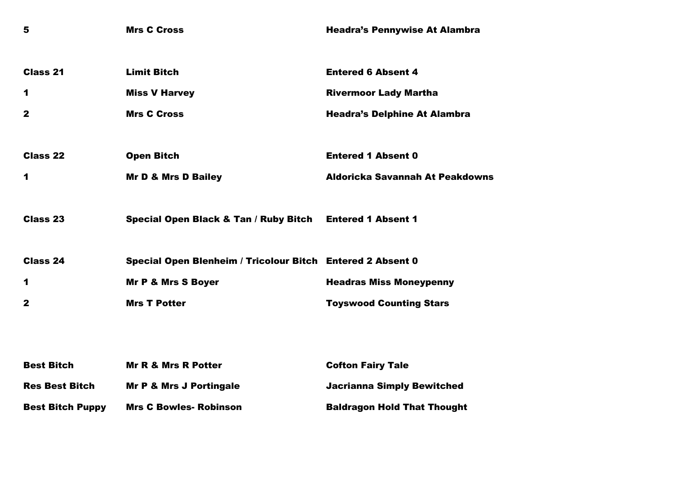| 5                       | <b>Mrs C Cross</b>                                         | <b>Headra's Pennywise At Alambra</b>   |
|-------------------------|------------------------------------------------------------|----------------------------------------|
| <b>Class 21</b>         | <b>Limit Bitch</b>                                         | <b>Entered 6 Absent 4</b>              |
| 1                       | <b>Miss V Harvey</b>                                       | <b>Rivermoor Lady Martha</b>           |
| $\mathbf{2}$            | <b>Mrs C Cross</b>                                         | <b>Headra's Delphine At Alambra</b>    |
|                         |                                                            |                                        |
| <b>Class 22</b>         | <b>Open Bitch</b>                                          | <b>Entered 1 Absent 0</b>              |
| 1                       | <b>Mr D &amp; Mrs D Bailey</b>                             | <b>Aldoricka Savannah At Peakdowns</b> |
|                         |                                                            |                                        |
| Class 23                | <b>Special Open Black &amp; Tan / Ruby Bitch</b>           | <b>Entered 1 Absent 1</b>              |
|                         |                                                            |                                        |
| <b>Class 24</b>         | Special Open Blenheim / Tricolour Bitch Entered 2 Absent 0 |                                        |
| 1                       | <b>Mr P &amp; Mrs S Boyer</b>                              | <b>Headras Miss Moneypenny</b>         |
| $\mathbf{2}$            | <b>Mrs T Potter</b>                                        | <b>Toyswood Counting Stars</b>         |
|                         |                                                            |                                        |
|                         |                                                            |                                        |
| <b>Best Bitch</b>       | <b>Mr R &amp; Mrs R Potter</b>                             | <b>Cofton Fairy Tale</b>               |
| <b>Res Best Bitch</b>   | <b>Mr P &amp; Mrs J Portingale</b>                         | <b>Jacrianna Simply Bewitched</b>      |
| <b>Best Bitch Puppy</b> | <b>Mrs C Bowles- Robinson</b>                              | <b>Baldragon Hold That Thought</b>     |